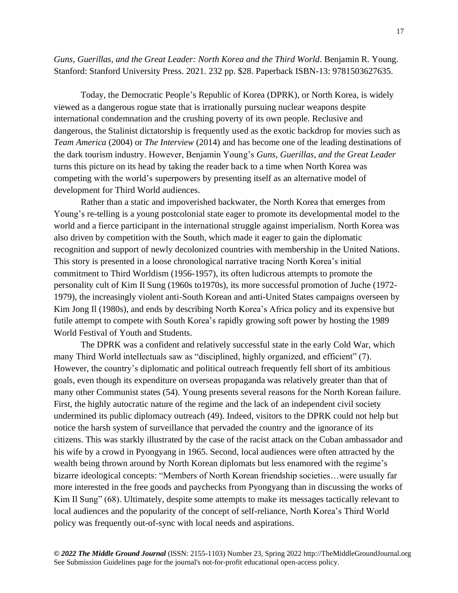*Guns, Guerillas, and the Great Leader: North Korea and the Third World*. Benjamin R. Young. Stanford: Stanford University Press. 2021. 232 pp. \$28. Paperback ISBN-13: 9781503627635.

Today, the Democratic People's Republic of Korea (DPRK), or North Korea, is widely viewed as a dangerous rogue state that is irrationally pursuing nuclear weapons despite international condemnation and the crushing poverty of its own people. Reclusive and dangerous, the Stalinist dictatorship is frequently used as the exotic backdrop for movies such as *Team America* (2004) or *The Interview* (2014) and has become one of the leading destinations of the dark tourism industry. However, Benjamin Young's *Guns, Guerillas, and the Great Leader* turns this picture on its head by taking the reader back to a time when North Korea was competing with the world's superpowers by presenting itself as an alternative model of development for Third World audiences.

Rather than a static and impoverished backwater, the North Korea that emerges from Young's re-telling is a young postcolonial state eager to promote its developmental model to the world and a fierce participant in the international struggle against imperialism. North Korea was also driven by competition with the South, which made it eager to gain the diplomatic recognition and support of newly decolonized countries with membership in the United Nations. This story is presented in a loose chronological narrative tracing North Korea's initial commitment to Third Worldism (1956-1957), its often ludicrous attempts to promote the personality cult of Kim Il Sung (1960s to1970s), its more successful promotion of Juche (1972- 1979), the increasingly violent anti-South Korean and anti-United States campaigns overseen by Kim Jong Il (1980s), and ends by describing North Korea's Africa policy and its expensive but futile attempt to compete with South Korea's rapidly growing soft power by hosting the 1989 World Festival of Youth and Students.

The DPRK was a confident and relatively successful state in the early Cold War, which many Third World intellectuals saw as "disciplined, highly organized, and efficient" (7). However, the country's diplomatic and political outreach frequently fell short of its ambitious goals, even though its expenditure on overseas propaganda was relatively greater than that of many other Communist states (54). Young presents several reasons for the North Korean failure. First, the highly autocratic nature of the regime and the lack of an independent civil society undermined its public diplomacy outreach (49). Indeed, visitors to the DPRK could not help but notice the harsh system of surveillance that pervaded the country and the ignorance of its citizens. This was starkly illustrated by the case of the racist attack on the Cuban ambassador and his wife by a crowd in Pyongyang in 1965. Second, local audiences were often attracted by the wealth being thrown around by North Korean diplomats but less enamored with the regime's bizarre ideological concepts: "Members of North Korean friendship societies…were usually far more interested in the free goods and paychecks from Pyongyang than in discussing the works of Kim Il Sung" (68). Ultimately, despite some attempts to make its messages tactically relevant to local audiences and the popularity of the concept of self-reliance, North Korea's Third World policy was frequently out-of-sync with local needs and aspirations.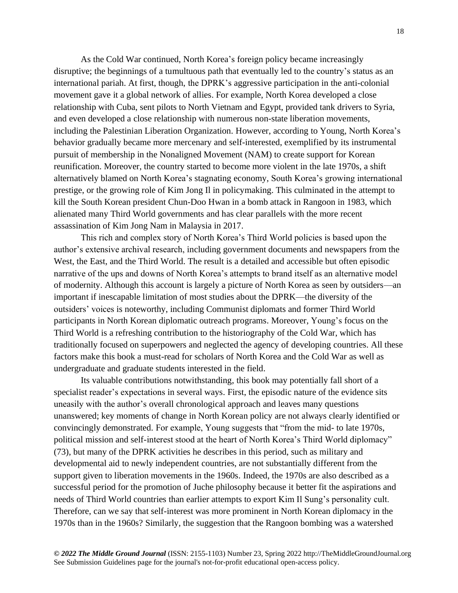As the Cold War continued, North Korea's foreign policy became increasingly disruptive; the beginnings of a tumultuous path that eventually led to the country's status as an international pariah. At first, though, the DPRK's aggressive participation in the anti-colonial movement gave it a global network of allies. For example, North Korea developed a close relationship with Cuba, sent pilots to North Vietnam and Egypt, provided tank drivers to Syria, and even developed a close relationship with numerous non-state liberation movements, including the Palestinian Liberation Organization. However, according to Young, North Korea's behavior gradually became more mercenary and self-interested, exemplified by its instrumental pursuit of membership in the Nonaligned Movement (NAM) to create support for Korean reunification. Moreover, the country started to become more violent in the late 1970s, a shift alternatively blamed on North Korea's stagnating economy, South Korea's growing international prestige, or the growing role of Kim Jong Il in policymaking. This culminated in the attempt to kill the South Korean president Chun-Doo Hwan in a bomb attack in Rangoon in 1983, which alienated many Third World governments and has clear parallels with the more recent assassination of Kim Jong Nam in Malaysia in 2017.

This rich and complex story of North Korea's Third World policies is based upon the author's extensive archival research, including government documents and newspapers from the West, the East, and the Third World. The result is a detailed and accessible but often episodic narrative of the ups and downs of North Korea's attempts to brand itself as an alternative model of modernity. Although this account is largely a picture of North Korea as seen by outsiders—an important if inescapable limitation of most studies about the DPRK—the diversity of the outsiders' voices is noteworthy, including Communist diplomats and former Third World participants in North Korean diplomatic outreach programs. Moreover, Young's focus on the Third World is a refreshing contribution to the historiography of the Cold War, which has traditionally focused on superpowers and neglected the agency of developing countries. All these factors make this book a must-read for scholars of North Korea and the Cold War as well as undergraduate and graduate students interested in the field.

Its valuable contributions notwithstanding, this book may potentially fall short of a specialist reader's expectations in several ways. First, the episodic nature of the evidence sits uneasily with the author's overall chronological approach and leaves many questions unanswered; key moments of change in North Korean policy are not always clearly identified or convincingly demonstrated. For example, Young suggests that "from the mid- to late 1970s, political mission and self-interest stood at the heart of North Korea's Third World diplomacy" (73), but many of the DPRK activities he describes in this period, such as military and developmental aid to newly independent countries, are not substantially different from the support given to liberation movements in the 1960s. Indeed, the 1970s are also described as a successful period for the promotion of Juche philosophy because it better fit the aspirations and needs of Third World countries than earlier attempts to export Kim Il Sung's personality cult. Therefore, can we say that self-interest was more prominent in North Korean diplomacy in the 1970s than in the 1960s? Similarly, the suggestion that the Rangoon bombing was a watershed